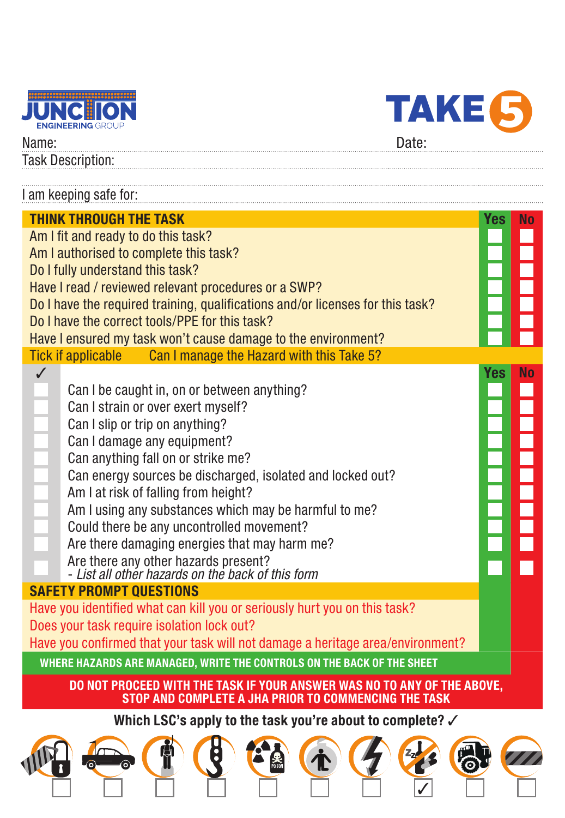



Name: Date: Task Description:

| I am keeping safe for:                                                                                                                                                                                                                                                                                                                                                                                                                                                                                                                                                                                                            |            |                        |  |
|-----------------------------------------------------------------------------------------------------------------------------------------------------------------------------------------------------------------------------------------------------------------------------------------------------------------------------------------------------------------------------------------------------------------------------------------------------------------------------------------------------------------------------------------------------------------------------------------------------------------------------------|------------|------------------------|--|
| <b>THINK THROUGH THE TASK</b><br>Am I fit and ready to do this task?<br>Am I authorised to complete this task?<br>Do I fully understand this task?<br>Have I read / reviewed relevant procedures or a SWP?<br>Do I have the required training, qualifications and/or licenses for this task?<br>Do I have the correct tools/PPE for this task?<br>Have I ensured my task won't cause damage to the environment?<br>Can I manage the Hazard with this Take 5?<br><b>Tick if applicable</b><br>$\checkmark$<br>Can I be caught in, on or between anything?<br>Can I strain or over exert myself?<br>Can I slip or trip on anything? | Yes<br>Yes | <b>No</b><br><b>No</b> |  |
| Can I damage any equipment?<br>Can anything fall on or strike me?<br>Can energy sources be discharged, isolated and locked out?<br>Am I at risk of falling from height?<br>Am I using any substances which may be harmful to me?<br>Could there be any uncontrolled movement?<br>Are there damaging energies that may harm me?<br>Are there any other hazards present?<br>- List all other hazards on the back of this form                                                                                                                                                                                                       |            |                        |  |
| <b>SAFETY PROMPT OUESTIONS</b><br>Have you identified what can kill you or seriously hurt you on this task?<br>Does your task require isolation lock out?<br>Have you confirmed that your task will not damage a heritage area/environment?                                                                                                                                                                                                                                                                                                                                                                                       |            |                        |  |
| WHERE HAZARDS ARE MANAGED, WRITE THE CONTROLS ON THE BACK OF THE SHEET<br>DO NOT PROCEED WITH THE TASK IF YOUR ANSWER WAS NO TO ANY OF THE ABOVE.<br>STOP AND COMPLETE A JHA PRIOR TO COMMENCING THE TASK                                                                                                                                                                                                                                                                                                                                                                                                                         |            |                        |  |
| Which LSC's apply to the task you're about to complete? √                                                                                                                                                                                                                                                                                                                                                                                                                                                                                                                                                                         |            |                        |  |